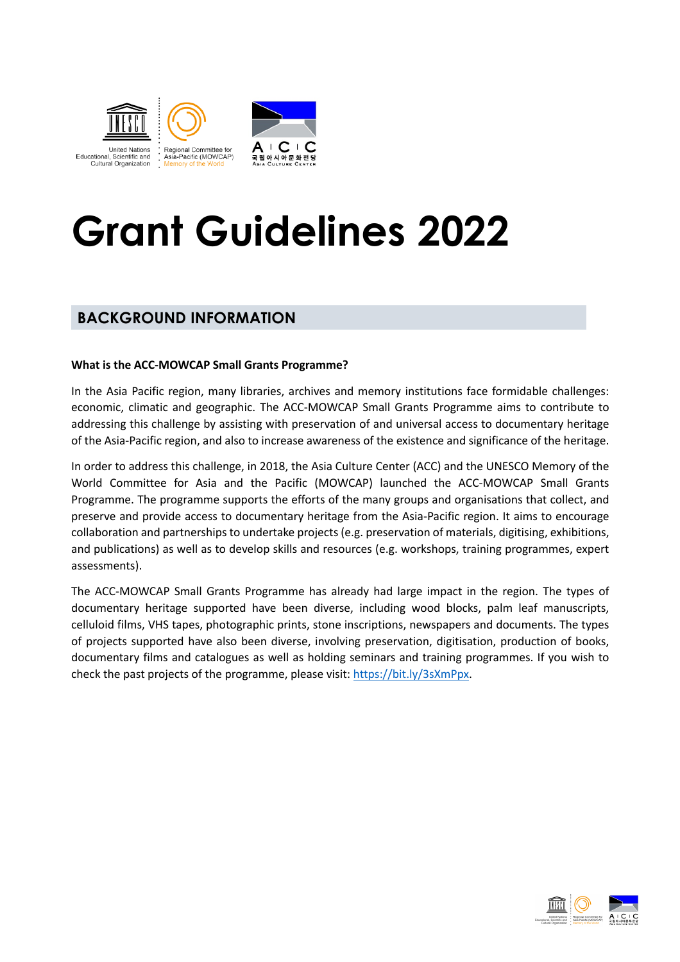

# **Grant Guidelines 2022**

### **BACKGROUND INFORMATION**

#### **What is the ACC-MOWCAP Small Grants Programme?**

In the Asia Pacific region, many libraries, archives and memory institutions face formidable challenges: economic, climatic and geographic. The ACC-MOWCAP Small Grants Programme aims to contribute to addressing this challenge by assisting with preservation of and universal access to documentary heritage of the Asia-Pacific region, and also to increase awareness of the existence and significance of the heritage.

In order to address this challenge, in 2018, the Asia Culture Center (ACC) and the UNESCO Memory of the World Committee for Asia and the Pacific (MOWCAP) launched the ACC-MOWCAP Small Grants Programme. The programme supports the efforts of the many groups and organisations that collect, and preserve and provide access to documentary heritage from the Asia-Pacific region. It aims to encourage collaboration and partnerships to undertake projects (e.g. preservation of materials, digitising, exhibitions, and publications) as well as to develop skills and resources (e.g. workshops, training programmes, expert assessments).

The ACC-MOWCAP Small Grants Programme has already had large impact in the region. The types of documentary heritage supported have been diverse, including wood blocks, palm leaf manuscripts, celluloid films, VHS tapes, photographic prints, stone inscriptions, newspapers and documents. The types of projects supported have also been diverse, involving preservation, digitisation, production of books, documentary films and catalogues as well as holding seminars and training programmes. If you wish to check the past projects of the programme, please visit: https://bit.ly/3sXmPpx.

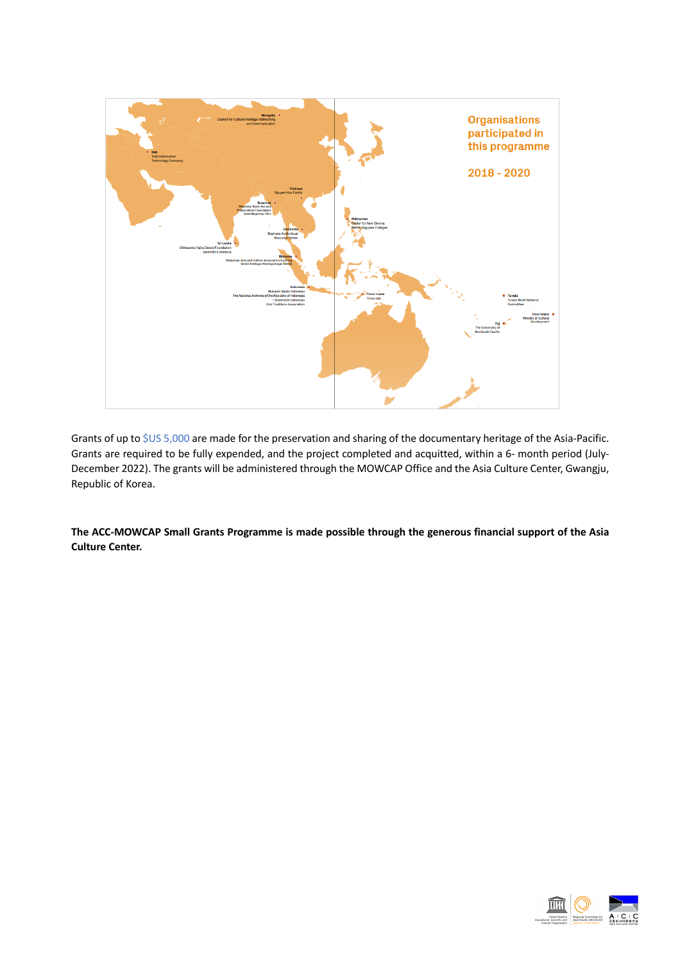

Grants of up to \$US 5,000 are made for the preservation and sharing of the documentary heritage of the Asia-Pacific. Grants are required to be fully expended, and the project completed and acquitted, within a 6- month period (July-December 2022). The grants will be administered through the MOWCAP Office and the Asia Culture Center, Gwangju, Republic of Korea.

**The ACC-MOWCAP Small Grants Programme is made possible through the generous financial support of the Asia Culture Center.**

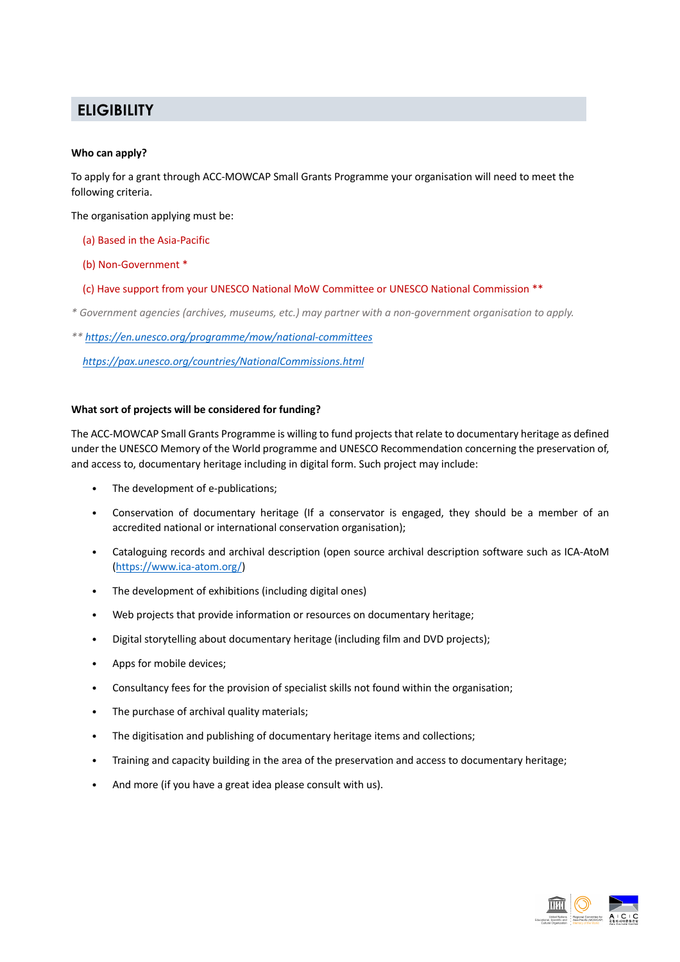## **ELIGIBILITY**

#### **Who can apply?**

To apply for a grant through ACC-MOWCAP Small Grants Programme your organisation will need to meet the following criteria.

The organisation applying must be:

- (a) Based in the Asia-Pacific
- (b) Non-Government \*
- (c) Have support from your UNESCO National MoW Committee or UNESCO National Commission \*\*
- *\* Government agencies (archives, museums, etc.) may partner with a non-government organisation to apply.*
- *\*\* https://en.unesco.org/programme/mow/national-committees*

*https://pax.unesco.org/countries/NationalCommissions.html*

#### **What sort of projects will be considered for funding?**

The ACC-MOWCAP Small Grants Programme is willing to fund projects that relate to documentary heritage as defined under the UNESCO Memory of the World programme and UNESCO Recommendation concerning the preservation of, and access to, documentary heritage including in digital form. Such project may include:

- The development of e-publications;
- Conservation of documentary heritage (If a conservator is engaged, they should be a member of an accredited national or international conservation organisation);
- Cataloguing records and archival description (open source archival description software such as ICA-AtoM (https://www.ica-atom.org/)
- The development of exhibitions (including digital ones)
- Web projects that provide information or resources on documentary heritage;
- Digital storytelling about documentary heritage (including film and DVD projects);
- Apps for mobile devices;
- Consultancy fees for the provision of specialist skills not found within the organisation;
- The purchase of archival quality materials;
- The digitisation and publishing of documentary heritage items and collections;
- Training and capacity building in the area of the preservation and access to documentary heritage;
- And more (if you have a great idea please consult with us).

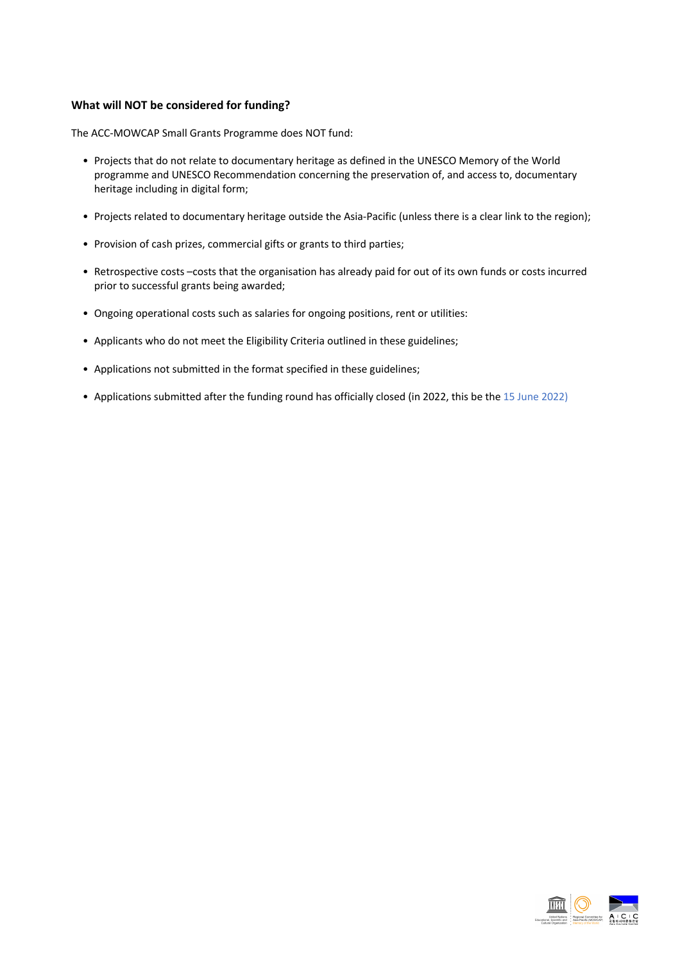#### **What will NOT be considered for funding?**

The ACC-MOWCAP Small Grants Programme does NOT fund:

- Projects that do not relate to documentary heritage as defined in the UNESCO Memory of the World programme and UNESCO Recommendation concerning the preservation of, and access to, documentary heritage including in digital form;
- Projects related to documentary heritage outside the Asia-Pacific (unless there is a clear link to the region);
- Provision of cash prizes, commercial gifts or grants to third parties;
- Retrospective costs –costs that the organisation has already paid for out of its own funds or costs incurred prior to successful grants being awarded;
- Ongoing operational costs such as salaries for ongoing positions, rent or utilities:
- Applicants who do not meet the Eligibility Criteria outlined in these guidelines;
- Applications not submitted in the format specified in these guidelines;
- Applications submitted after the funding round has officially closed (in 2022, this be the 15 June 2022)

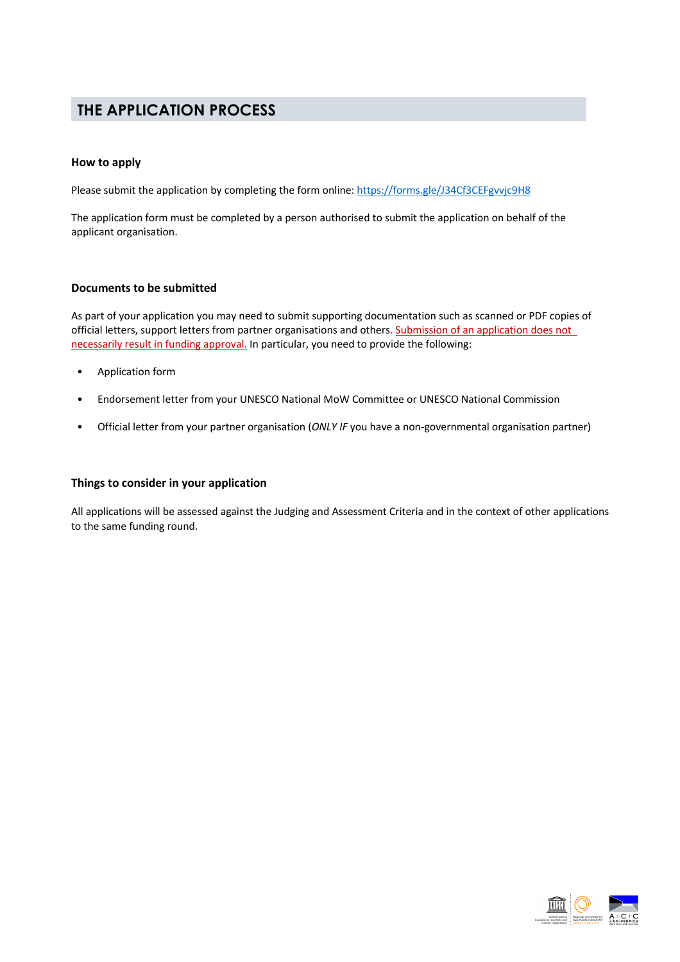### **THE APPLICATION PROCESS**

#### **How to apply**

Please submit the application by completing the form online: https://forms.gle/J34Cf3CEFgvvjc9H8

The application form must be completed by a person authorised to submit the application on behalf of the applicant organisation.

#### **Documents to be submitted**

As part of your application you may need to submit supporting documentation such as scanned or PDF copies of official letters, support letters from partner organisations and others. Submission of an application does not necessarily result in funding approval. In particular, you need to provide the following:

- Application form
- Endorsement letter from your UNESCO National MoW Committee or UNESCO National Commission
- Official letter from your partner organisation (*ONLY IF* you have a non-governmental organisation partner)

#### **Things to consider in your application**

All applications will be assessed against the Judging and Assessment Criteria and in the context of other applications to the same funding round.

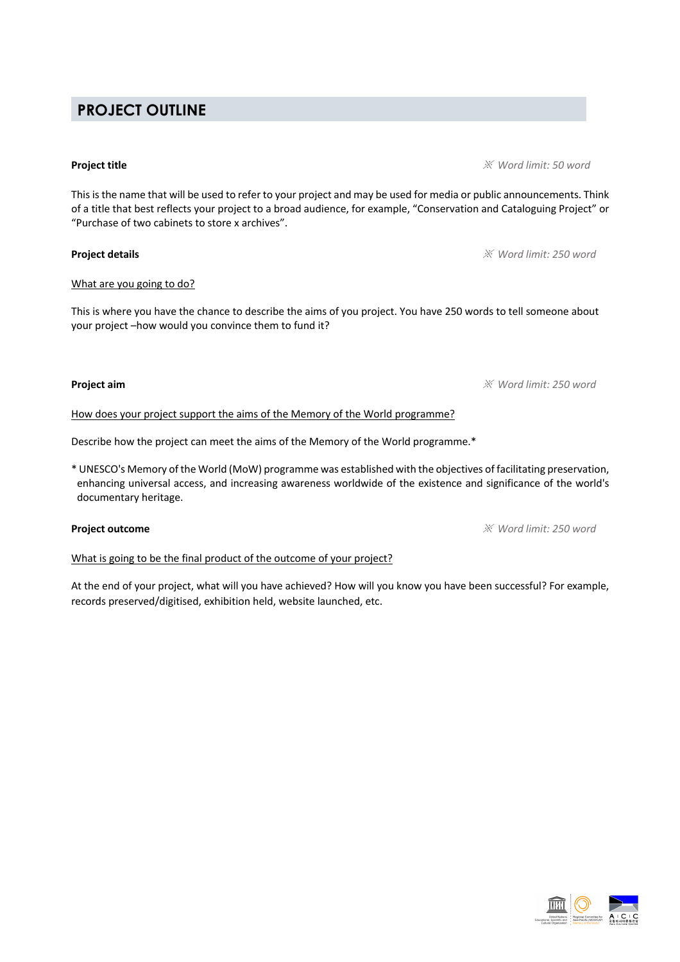# **PROJECT OUTLINE**

### **Project title** ※ *Word limit: 50 word*

This is the name that will be used to refer to your project and may be used for media or public announcements. Think of a title that best reflects your project to a broad audience, for example, "Conservation and Cataloguing Project" or "Purchase of two cabinets to store x archives".

### **Project details** ※ *Word limit: 250 word*

#### What are you going to do?

This is where you have the chance to describe the aims of you project. You have 250 words to tell someone about your project –how would you convince them to fund it?

#### **Project aim** ※ *Word limit: 250 word*

How does your project support the aims of the Memory of the World programme?

Describe how the project can meet the aims of the Memory of the World programme.\*

\* UNESCO's Memory of the World (MoW) programme was established with the objectives of facilitating preservation, enhancing universal access, and increasing awareness worldwide of the existence and significance of the world's documentary heritage.

What is going to be the final product of the outcome of your project?

At the end of your project, what will you have achieved? How will you know you have been successful? For example, records preserved/digitised, exhibition held, website launched, etc.

**Project outcome** ※ *Word limit: 250 word*

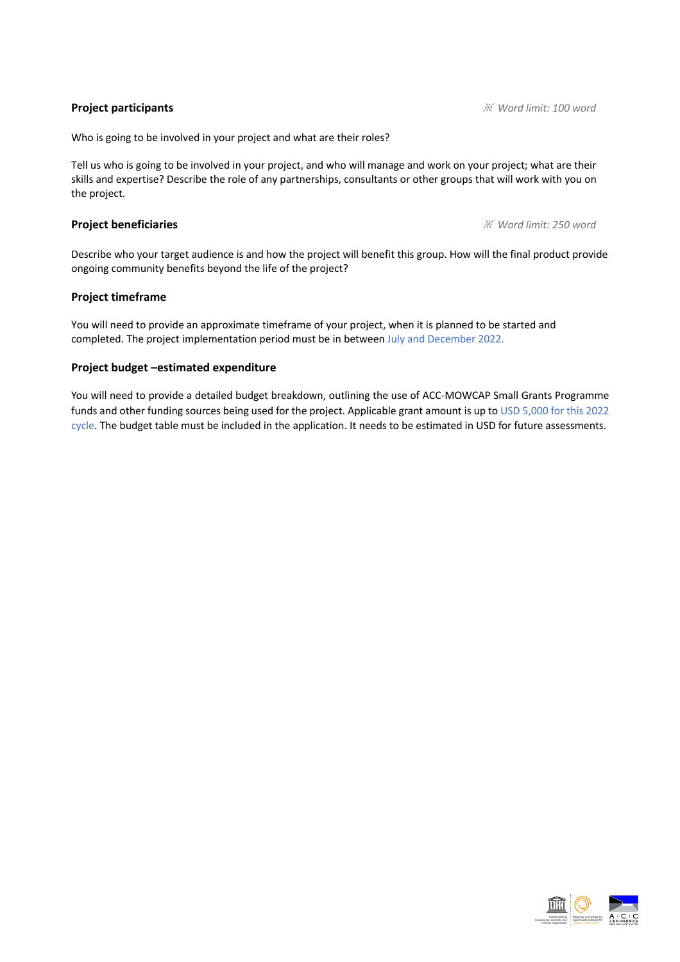**Project participants** ※ *Word limit: 100 word*

Who is going to be involved in your project and what are their roles?

Tell us who is going to be involved in your project, and who will manage and work on your project; what are their skills and expertise? Describe the role of any partnerships, consultants or other groups that will work with you on the project.

**Project beneficiaries** ※ *Word limit: 250 word*

Describe who your target audience is and how the project will benefit this group. How will the final product provide ongoing community benefits beyond the life of the project?

#### **Project timeframe**

You will need to provide an approximate timeframe of your project, when it is planned to be started and completed. The project implementation period must be in between July and December 2022.

#### **Project budget –estimated expenditure**

You will need to provide a detailed budget breakdown, outlining the use of ACC-MOWCAP Small Grants Programme funds and other funding sources being used for the project. Applicable grant amount is up to USD 5,000 for this 2022 cycle. The budget table must be included in the application. It needs to be estimated in USD for future assessments.

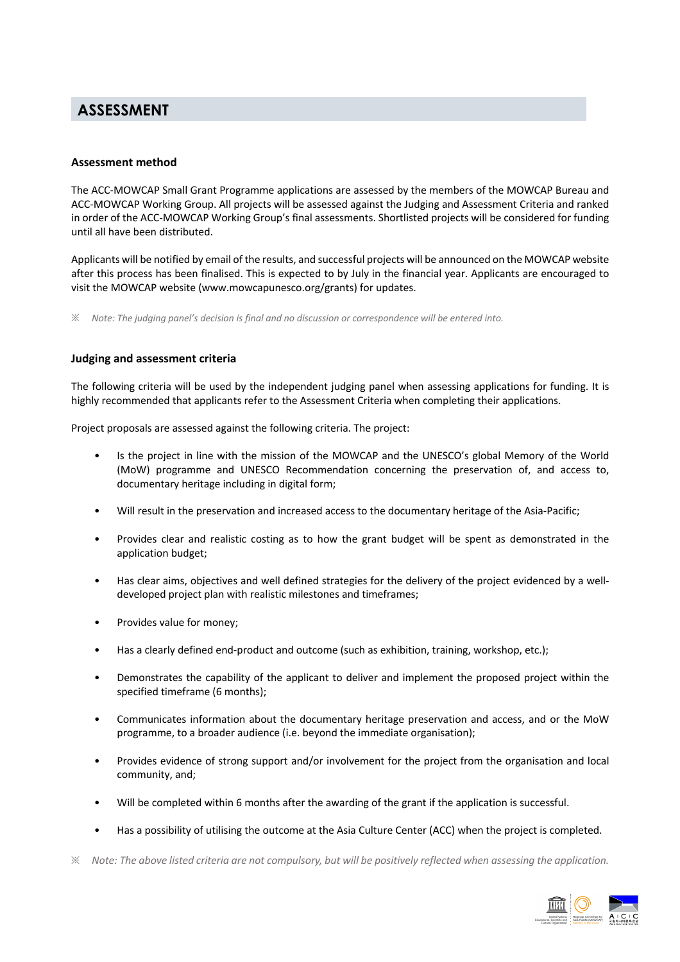### **ASSESSMENT**

#### **Assessment method**

The ACC-MOWCAP Small Grant Programme applications are assessed by the members of the MOWCAP Bureau and ACC-MOWCAP Working Group. All projects will be assessed against the Judging and Assessment Criteria and ranked in order of the ACC-MOWCAP Working Group's final assessments. Shortlisted projects will be considered for funding until all have been distributed.

Applicants will be notified by email of the results, and successful projects will be announced on the MOWCAP website after this process has been finalised. This is expected to by July in the financial year. Applicants are encouraged to visit the MOWCAP website (www.mowcapunesco.org/grants) for updates.

※ *Note: The judging panel's decision is final and no discussion or correspondence will be entered into.*

#### **Judging and assessment criteria**

The following criteria will be used by the independent judging panel when assessing applications for funding. It is highly recommended that applicants refer to the Assessment Criteria when completing their applications.

Project proposals are assessed against the following criteria. The project:

- Is the project in line with the mission of the MOWCAP and the UNESCO's global Memory of the World (MoW) programme and UNESCO Recommendation concerning the preservation of, and access to, documentary heritage including in digital form;
- Will result in the preservation and increased access to the documentary heritage of the Asia-Pacific;
- Provides clear and realistic costing as to how the grant budget will be spent as demonstrated in the application budget;
- Has clear aims, objectives and well defined strategies for the delivery of the project evidenced by a welldeveloped project plan with realistic milestones and timeframes;
- Provides value for money;
- Has a clearly defined end-product and outcome (such as exhibition, training, workshop, etc.);
- Demonstrates the capability of the applicant to deliver and implement the proposed project within the specified timeframe (6 months);
- Communicates information about the documentary heritage preservation and access, and or the MoW programme, to a broader audience (i.e. beyond the immediate organisation);
- Provides evidence of strong support and/or involvement for the project from the organisation and local community, and;
- Will be completed within 6 months after the awarding of the grant if the application is successful.
- Has a possibility of utilising the outcome at the Asia Culture Center (ACC) when the project is completed.
- ※ *Note: The above listed criteria are not compulsory, but will be positively reflected when assessing the application.*

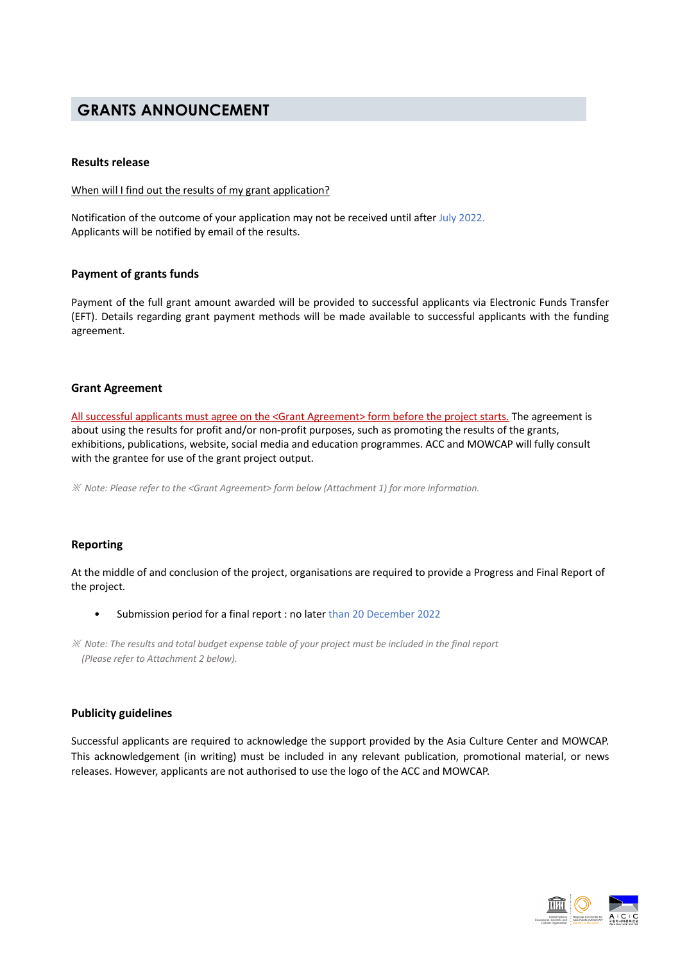### **GRANTS ANNOUNCEMENT**

#### **Results release**

#### When will I find out the results of my grant application?

Notification of the outcome of your application may not be received until after July 2022. Applicants will be notified by email of the results.

#### **Payment of grants funds**

Payment of the full grant amount awarded will be provided to successful applicants via Electronic Funds Transfer (EFT). Details regarding grant payment methods will be made available to successful applicants with the funding agreement.

#### **Grant Agreement**

All successful applicants must agree on the <Grant Agreement> form before the project starts. The agreement is about using the results for profit and/or non-profit purposes, such as promoting the results of the grants, exhibitions, publications, website, social media and education programmes. ACC and MOWCAP will fully consult with the grantee for use of the grant project output.

※ *Note: Please refer to the <Grant Agreement> form below (Attachment 1) for more information.*

#### **Reporting**

At the middle of and conclusion of the project, organisations are required to provide a Progress and Final Report of the project.

• Submission period for a final report : no later than 20 December 2022

#### **Publicity guidelines**

Successful applicants are required to acknowledge the support provided by the Asia Culture Center and MOWCAP. This acknowledgement (in writing) must be included in any relevant publication, promotional material, or news releases. However, applicants are not authorised to use the logo of the ACC and MOWCAP.



<sup>※</sup> *Note: The results and total budget expense table of your project must be included in the final report (Please refer to Attachment 2 below).*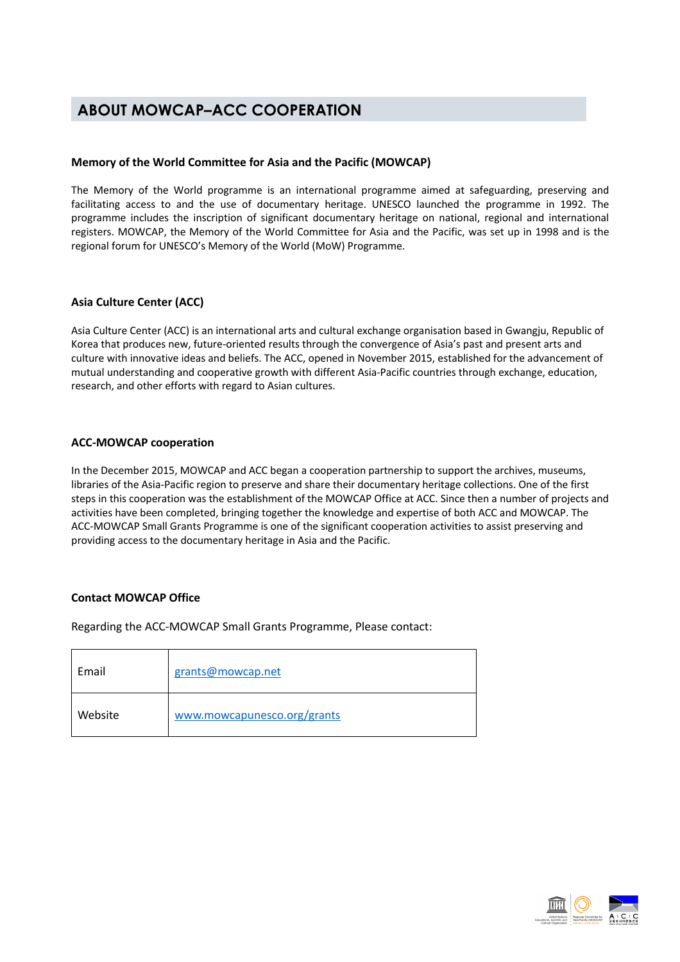## **ABOUT MOWCAP–ACC COOPERATION**

#### **Memory of the World Committee for Asia and the Pacific (MOWCAP)**

The Memory of the World programme is an international programme aimed at safeguarding, preserving and facilitating access to and the use of documentary heritage. UNESCO launched the programme in 1992. The programme includes the inscription of significant documentary heritage on national, regional and international registers. MOWCAP, the Memory of the World Committee for Asia and the Pacific, was set up in 1998 and is the regional forum for UNESCO's Memory of the World (MoW) Programme.

#### **Asia Culture Center (ACC)**

Asia Culture Center (ACC) is an international arts and cultural exchange organisation based in Gwangju, Republic of Korea that produces new, future-oriented results through the convergence of Asia's past and present arts and culture with innovative ideas and beliefs. The ACC, opened in November 2015, established for the advancement of mutual understanding and cooperative growth with different Asia-Pacific countries through exchange, education, research, and other efforts with regard to Asian cultures.

#### **ACC-MOWCAP cooperation**

In the December 2015, MOWCAP and ACC began a cooperation partnership to support the archives, museums, libraries of the Asia-Pacific region to preserve and share their documentary heritage collections. One of the first steps in this cooperation was the establishment of the MOWCAP Office at ACC. Since then a number of projects and activities have been completed, bringing together the knowledge and expertise of both ACC and MOWCAP. The ACC-MOWCAP Small Grants Programme is one of the significant cooperation activities to assist preserving and providing access to the documentary heritage in Asia and the Pacific.

#### **Contact MOWCAP Office**

Regarding the ACC-MOWCAP Small Grants Programme, Please contact:

| Email   | grants@mowcap.net           |
|---------|-----------------------------|
| Website | www.mowcapunesco.org/grants |

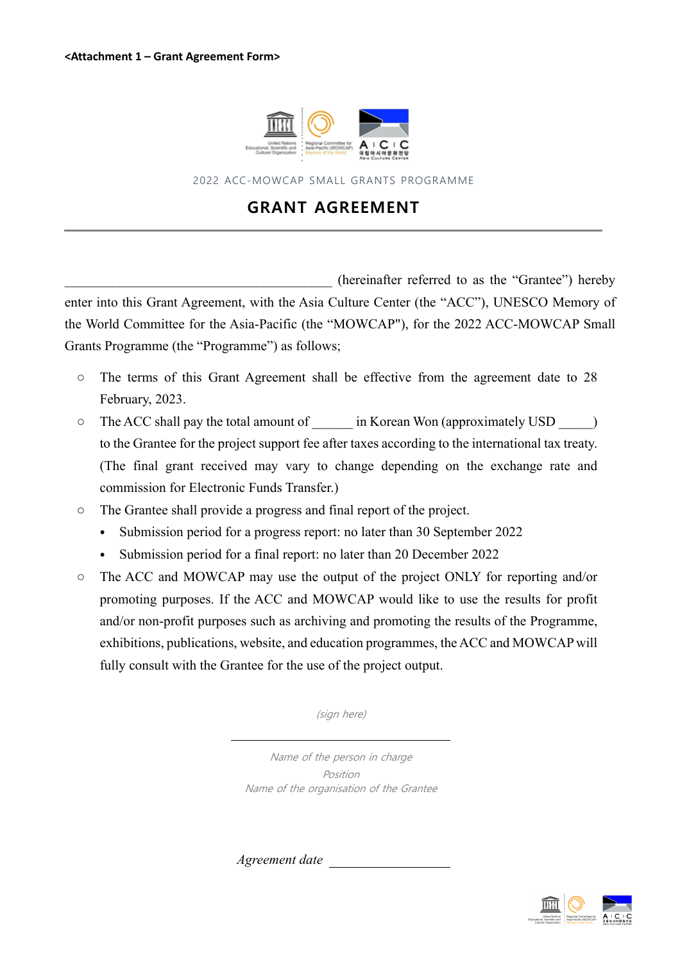

2022 ACC-MOWCAP SMALL GRANTS PROGRAMME

# **GRANT AGREEMENT**

(hereinafter referred to as the "Grantee") hereby enter into this Grant Agreement, with the Asia Culture Center (the "ACC"), UNESCO Memory of the World Committee for the Asia-Pacific (the "MOWCAP"), for the 2022 ACC-MOWCAP Small Grants Programme (the "Programme") as follows;

- The terms of this Grant Agreement shall be effective from the agreement date to 28 February, 2023.
- The ACC shall pay the total amount of in Korean Won (approximately USD  $\Box$ ) to the Grantee for the project support fee after taxes according to the international tax treaty. (The final grant received may vary to change depending on the exchange rate and commission for Electronic Funds Transfer.)
- The Grantee shall provide a progress and final report of the project.
	- ⦁ Submission period for a progress report: no later than 30 September 2022
	- ⦁ Submission period for a final report: no later than 20 December 2022
- The ACC and MOWCAP may use the output of the project ONLY for reporting and/or promoting purposes. If the ACC and MOWCAP would like to use the results for profit and/or non-profit purposes such as archiving and promoting the results of the Programme, exhibitions, publications, website, and education programmes, the ACC and MOWCAP will fully consult with the Grantee for the use of the project output.

(sign here)

Name of the person in charge Position Name of the organisation of the Grantee

*Agreement date*

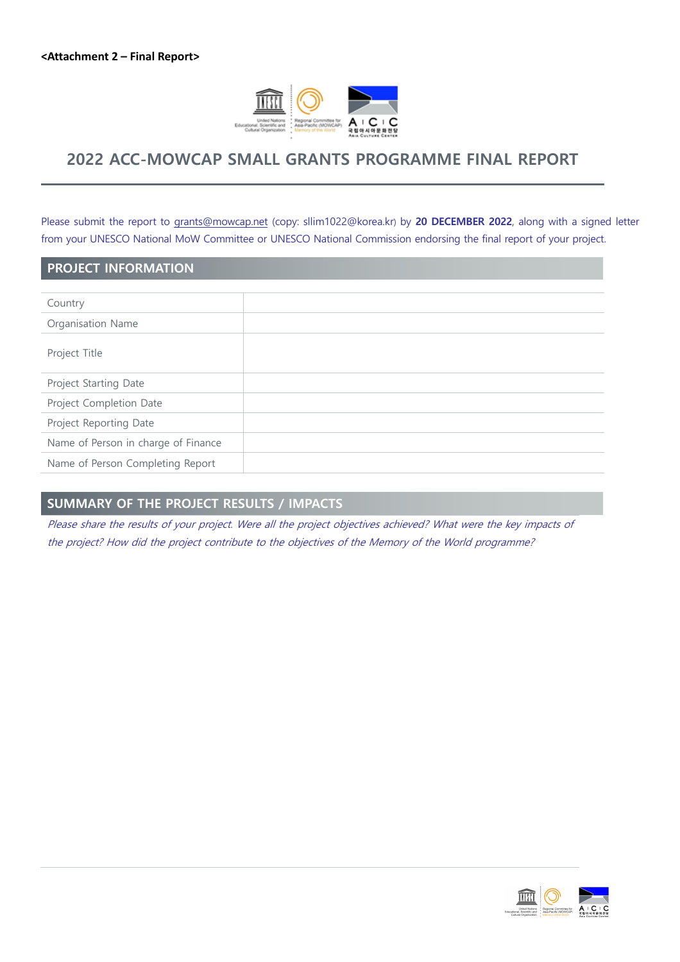

### **2022 ACC-MOWCAP SMALL GRANTS PROGRAMME FINAL REPORT**

Please submit the report to grants@mowcap.net (copy: sllim1022@korea.kr) by **20 DECEMBER 2022**, along with a signed letter from your UNESCO National MoW Committee or UNESCO National Commission endorsing the final report of your project.

#### **PROJECT INFORMATION**

| Country                             |  |
|-------------------------------------|--|
| Organisation Name                   |  |
| Project Title                       |  |
| Project Starting Date               |  |
| Project Completion Date             |  |
| Project Reporting Date              |  |
| Name of Person in charge of Finance |  |
| Name of Person Completing Report    |  |
|                                     |  |

### **SUMMARY OF THE PROJECT RESULTS / IMPACTS**

Please share the results of your project. Were all the project objectives achieved? What were the key impacts of the project? How did the project contribute to the objectives of the Memory of the World programme?

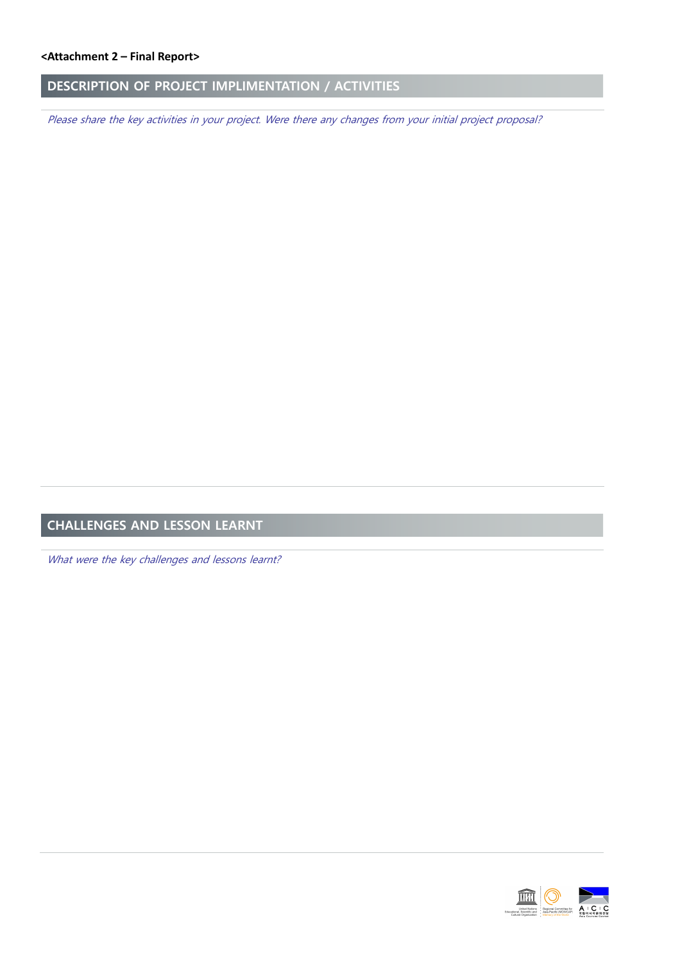### **DESCRIPTION OF PROJECT IMPLIMENTATION / ACTIVITIES**

Please share the key activities in your project. Were there any changes from your initial project proposal?

# **CHALLENGES AND LESSON LEARNT**

What were the key challenges and lessons learnt?

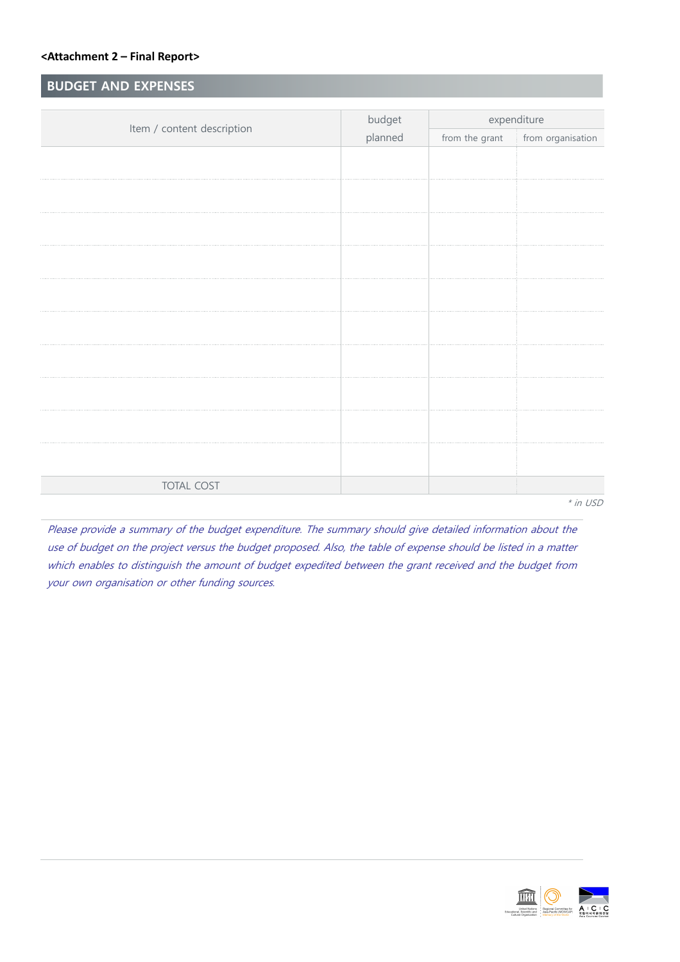### **BUDGET AND EXPENSES**

|                            | budget  | expenditure    |                   |
|----------------------------|---------|----------------|-------------------|
| Item / content description | planned | from the grant | from organisation |
|                            |         |                |                   |
|                            |         |                |                   |
|                            |         |                |                   |
|                            |         |                |                   |
|                            |         |                |                   |
|                            |         |                |                   |
|                            |         |                |                   |
|                            |         |                |                   |
|                            |         |                |                   |
|                            |         |                |                   |
|                            |         |                |                   |
|                            |         |                |                   |
|                            |         |                |                   |
|                            |         |                |                   |
|                            |         |                |                   |
|                            |         |                |                   |
|                            |         |                |                   |
|                            |         |                |                   |
| <b>TOTAL COST</b>          |         |                |                   |
| $*$ in USD                 |         |                |                   |

Please provide a summary of the budget expenditure. The summary should give detailed information about the use of budget on the project versus the budget proposed. Also, the table of expense should be listed in a matter which enables to distinguish the amount of budget expedited between the grant received and the budget from your own organisation or other funding sources.

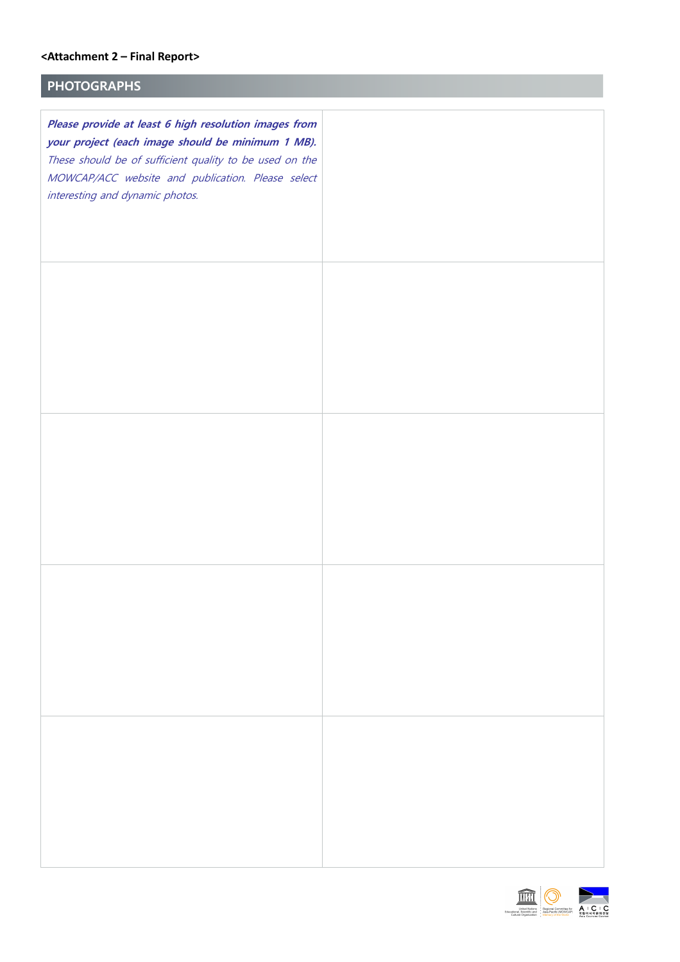### **PHOTOGRAPHS**

| Please provide at least 6 high resolution images from<br>your project (each image should be minimum 1 MB).<br>These should be of sufficient quality to be used on the<br>MOWCAP/ACC website and publication. Please select<br>interesting and dynamic photos. |  |
|---------------------------------------------------------------------------------------------------------------------------------------------------------------------------------------------------------------------------------------------------------------|--|
|                                                                                                                                                                                                                                                               |  |
|                                                                                                                                                                                                                                                               |  |
|                                                                                                                                                                                                                                                               |  |
|                                                                                                                                                                                                                                                               |  |

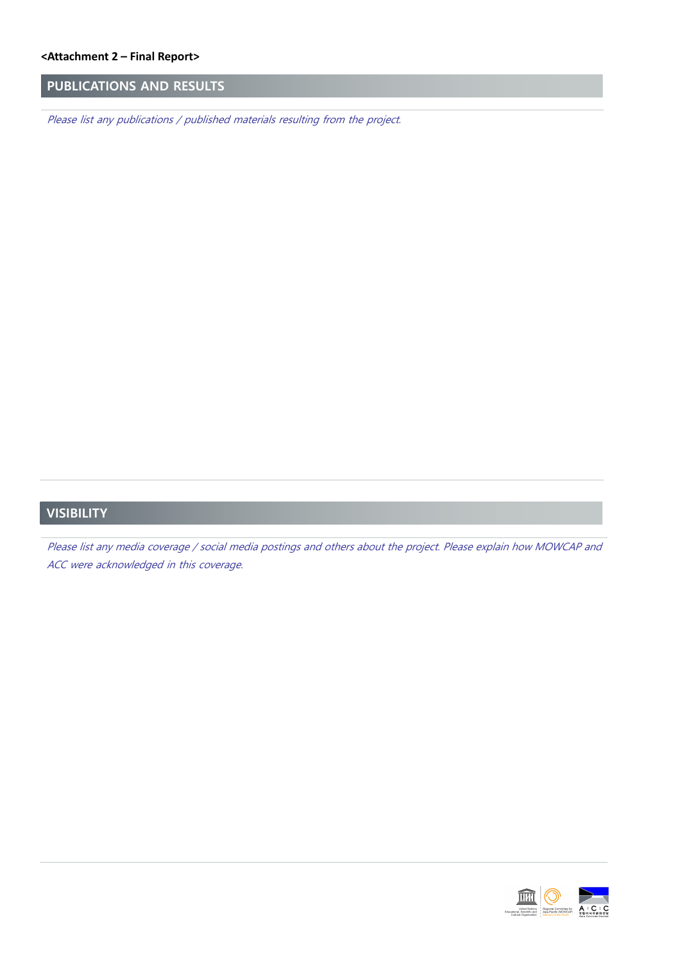### **PUBLICATIONS AND RESULTS**

Please list any publications / published materials resulting from the project.

### **VISIBILITY**

Please list any media coverage / social media postings and others about the project. Please explain how MOWCAP and ACC were acknowledged in this coverage.